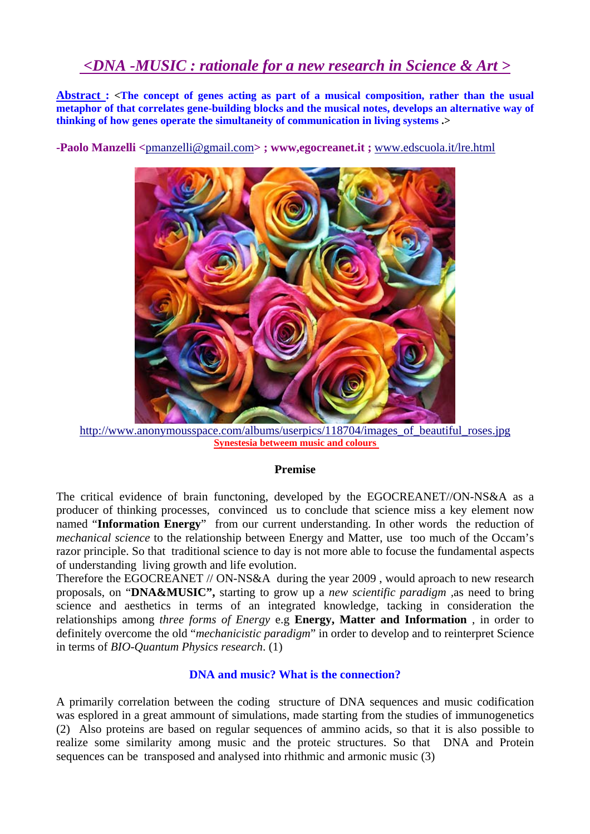# *<DNA -MUSIC : rationale for a new research in Science & Art >*

**Abstract : <The concept of genes acting as part of a musical composition, rather than the usual metaphor of that correlates gene-building blocks and the musical notes, develops an alternative way of thinking of how genes operate the simultaneity of communication in living systems .>** 

**-Paolo Manzelli <**pmanzelli@gmail.com**> ; www,egocreanet.it ;** www.edscuola.it/lre.html



http://www.anonymousspace.com/albums/userpics/118704/images of beautiful roses.jpg **Synestesia betweem music and colours** 

#### **Premise**

The critical evidence of brain functoning, developed by the EGOCREANET//ON-NS&A as a producer of thinking processes, convinced us to conclude that science miss a key element now named "**Information Energy**" from our current understanding. In other words the reduction of *mechanical science* to the relationship between Energy and Matter, use too much of the Occam's razor principle. So that traditional science to day is not more able to focuse the fundamental aspects of understanding living growth and life evolution.

Therefore the EGOCREANET // ON-NS&A during the year 2009 , would aproach to new research proposals, on "**DNA&MUSIC",** starting to grow up a *new scientific paradigm ,*as need to bring science and aesthetics in terms of an integrated knowledge, tacking in consideration the relationships among *three forms of Energy* e.g **Energy, Matter and Information** , in order to definitely overcome the old "*mechanicistic paradigm*" in order to develop and to reinterpret Science in terms of *BIO-Quantum Physics research*. (1)

#### **DNA and music? What is the connection?**

A primarily correlation between the coding structure of DNA sequences and music codification was esplored in a great ammount of simulations, made starting from the studies of immunogenetics (2) Also proteins are based on regular sequences of ammino acids, so that it is also possible to realize some similarity among music and the proteic structures. So that DNA and Protein sequences can be transposed and analysed into rhithmic and armonic music (3)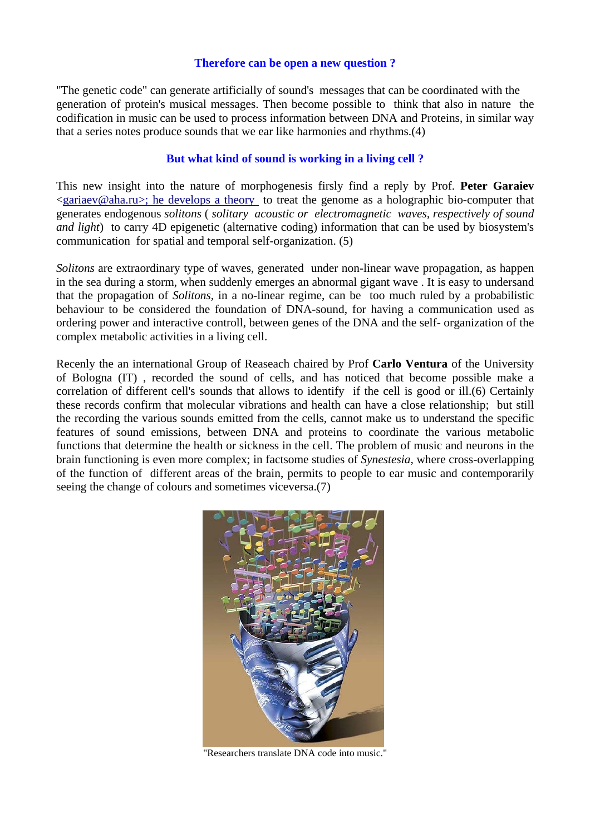#### **Therefore can be open a new question ?**

"The genetic code" can generate artificially of sound's messages that can be coordinated with the generation of protein's musical messages. Then become possible to think that also in nature the codification in music can be used to process information between DNA and Proteins, in similar way that a series notes produce sounds that we ear like harmonies and rhythms.(4)

#### **But what kind of sound is working in a living cell ?**

This new insight into the nature of morphogenesis firsly find a reply by Prof. **Peter Garaiev**  $\langle$ gariaev@aha.ru $>$ ; he develops a theory to treat the genome as a holographic bio-computer that generates endogenous *solitons* ( *solitary acoustic or electromagnetic waves, respectively of sound and light*) to carry 4D epigenetic (alternative coding) information that can be used by biosystem's communication for spatial and temporal self-organization. (5)

*Solitons* are extraordinary type of waves, generated under non-linear wave propagation, as happen in the sea during a storm, when suddenly emerges an abnormal gigant wave . It is easy to undersand that the propagation of *Solitons,* in a no-linear regime, can be too much ruled by a probabilistic behaviour to be considered the foundation of DNA-sound, for having a communication used as ordering power and interactive controll, between genes of the DNA and the self- organization of the complex metabolic activities in a living cell.

Recenly the an international Group of Reaseach chaired by Prof **Carlo Ventura** of the University of Bologna (IT) , recorded the sound of cells, and has noticed that become possible make a correlation of different cell's sounds that allows to identify if the cell is good or ill.(6) Certainly these records confirm that molecular vibrations and health can have a close relationship; but still the recording the various sounds emitted from the cells, cannot make us to understand the specific features of sound emissions, between DNA and proteins to coordinate the various metabolic functions that determine the health or sickness in the cell. The problem of music and neurons in the brain functioning is even more complex; in factsome studies of *Synestesia,* where cross-overlapping of the function of different areas of the brain, permits to people to ear music and contemporarily seeing the change of colours and sometimes viceversa.(7)



"Researchers translate DNA code into music."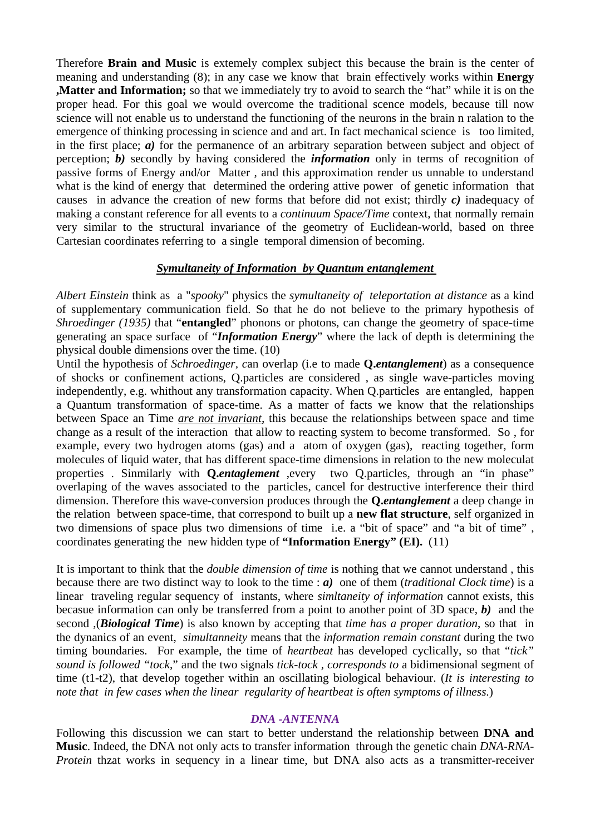Therefore **Brain and Music** is extemely complex subject this because the brain is the center of meaning and understanding (8); in any case we know that brain effectively works within **Energy ,Matter and Information;** so that we immediately try to avoid to search the "hat" while it is on the proper head. For this goal we would overcome the traditional scence models, because till now science will not enable us to understand the functioning of the neurons in the brain n ralation to the emergence of thinking processing in science and and art. In fact mechanical science is too limited, in the first place; *a)* for the permanence of an arbitrary separation between subject and object of perception; *b)* secondly by having considered the *information* only in terms of recognition of passive forms of Energy and/or Matter , and this approximation render us unnable to understand what is the kind of energy that determined the ordering attive power of genetic information that causes in advance the creation of new forms that before did not exist; thirdly *c)* inadequacy of making a constant reference for all events to a *continuum Space/Time* context, that normally remain very similar to the structural invariance of the geometry of Euclidean-world, based on three Cartesian coordinates referring to a single temporal dimension of becoming.

#### *Symultaneity of Information by Quantum entanglement*

*Albert Einstein* think as a "*spooky*" physics the *symultaneity of teleportation at distance* as a kind of supplementary communication field. So that he do not believe to the primary hypothesis of *Shroedinger (1935)* that "**entangled**" phonons or photons, can change the geometry of space-time generating an space surface of "*Information Energy*" where the lack of depth is determining the physical double dimensions over the time. (10)

Until the hypothesis of *Schroedinger, c*an overlap (i.e to made **Q.***entanglement*) as a consequence of shocks or confinement actions, Q.particles are considered , as single wave-particles moving independently, e.g. whithout any transformation capacity. When Q.particles are entangled, happen a Quantum transformation of space-time. As a matter of facts we know that the relationships between Space an Time *are not invariant,* this because the relationships between space and time change as a result of the interaction that allow to reacting system to become transformed. So , for example, every two hydrogen atoms (gas) and a atom of oxygen (gas), reacting together, form molecules of liquid water, that has different space-time dimensions in relation to the new moleculat properties . Sinmilarly with **Q.***entaglement* ,every two Q.particles, through an "in phase" overlaping of the waves associated to the particles, cancel for destructive interference their third dimension. Therefore this wave-conversion produces through the **Q.***entanglement* a deep change in the relation between space-time, that correspond to built up a **new flat structure**, self organized in two dimensions of space plus two dimensions of time i.e. a "bit of space" and "a bit of time" , coordinates generating the new hidden type of **"Information Energy" (EI).** (11)

It is important to think that the *double dimension of time* is nothing that we cannot understand , this because there are two distinct way to look to the time : *a)* one of them (*traditional Clock time*) is a linear traveling regular sequency of instants, where *simltaneity of information* cannot exists, this becasue information can only be transferred from a point to another point of 3D space, *b)* and the second ,(*Biological Time*) is also known by accepting that *time has a proper duration*, so that in the dynanics of an event, *simultanneity* means that the *information remain constant* during the two timing boundaries. For example, the time of *heartbeat* has developed cyclically, so that "*tick" sound is followed "tock*," and the two signals *tick-tock , corresponds to* a bidimensional segment of time (t1-t2), that develop together within an oscillating biological behaviour. (*It is interesting to note that in few cases when the linear regularity of heartbeat is often symptoms of illness*.)

#### *DNA -ANTENNA*

Following this discussion we can start to better understand the relationship between **DNA and Music**. Indeed, the DNA not only acts to transfer information through the genetic chain *DNA-RNA-Protein* thzat works in sequency in a linear time, but DNA also acts as a transmitter-receiver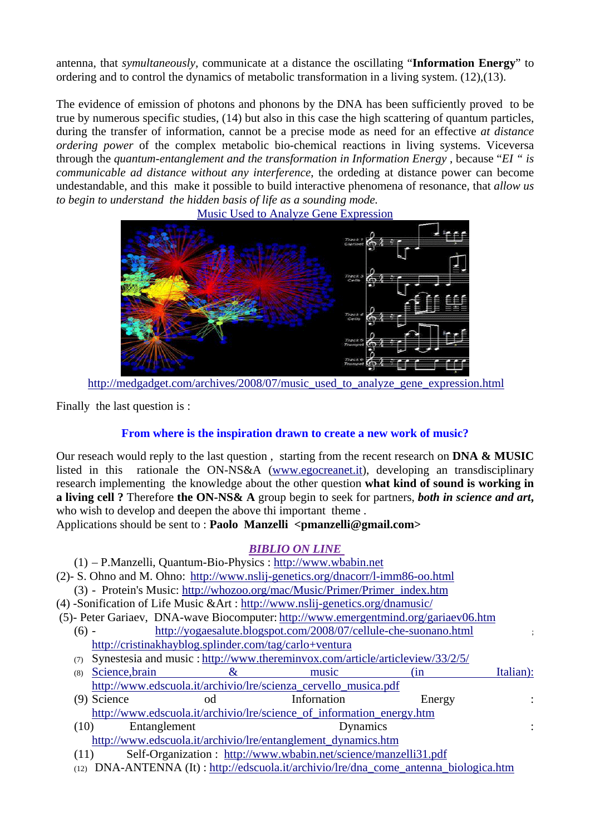antenna, that *symultaneously,* communicate at a distance the oscillating "**Information Energy**" to ordering and to control the dynamics of metabolic transformation in a living system. (12),(13).

The evidence of emission of photons and phonons by the DNA has been sufficiently proved to be true by numerous specific studies, (14) but also in this case the high scattering of quantum particles, during the transfer of information, cannot be a precise mode as need for an effective *at distance ordering power* of the complex metabolic bio-chemical reactions in living systems. Viceversa through the *quantum-entanglement and the transformation in Information Energy* , because "*EI " is communicable ad distance without any interference*, the ordeding at distance power can become undestandable, and this make it possible to build interactive phenomena of resonance, that *allow us to begin to understand the hidden basis of life as a sounding mode.* 

Music Used to Analyze Gene Expression



http://medgadget.com/archives/2008/07/music\_used\_to\_analyze\_gene\_expression.html

Finally the last question is :

## **From where is the inspiration drawn to create a new work of music?**

Our reseach would reply to the last question , starting from the recent research on **DNA & MUSIC** listed in this rationale the ON-NS&A (www.egocreanet.it), developing an transdisciplinary research implementing the knowledge about the other question **what kind of sound is working in a living cell ?** Therefore **the ON-NS& A** group begin to seek for partners, *both in science and art***,** who wish to develop and deepen the above thi important theme .

Applications should be sent to : **Paolo Manzelli <pmanzelli@gmail.com>** 

### *BIBLIO ON LINE*

- (1) P.Manzelli, Quantum-Bio-Physics : http://www.wbabin.net
- (2)- S. Ohno and M. Ohno: http://www.nslij-genetics.org/dnacorr/l-imm86-oo.html
	- (3) Protein's Music: http://whozoo.org/mac/Music/Primer/Primer\_index.htm
- (4) -Sonification of Life Music &Art : http://www.nslij-genetics.org/dnamusic/
- (5)- Peter Gariaev, DNA-wave Biocomputer: http://www.emergentmind.org/gariaev06.htm
	- (6) http://yogaesalute.blogspot.com/2008/07/cellule-che-suonano.html ; http://cristinakhayblog.splinder.com/tag/carlo+ventura
	- (7) Synestesia and music : http://www.thereminvox.com/article/articleview/33/2/5/ (8) Science, brain  $\&$  music (in Italian):
	- http://www.edscuola.it/archivio/lre/scienza\_cervello\_musica.pdf (9) Science od Infornation Energy :
	- http://www.edscuola.it/archivio/lre/science\_of\_information\_energy.htm (10) Entanglement Dynamics :
	- http://www.edscuola.it/archivio/lre/entanglement\_dynamics.htm
	- (11) Self-Organization : http://www.wbabin.net/science/manzelli31.pdf
	- (12) DNA-ANTENNA (It) : http://edscuola.it/archivio/lre/dna\_come\_antenna\_biologica.htm